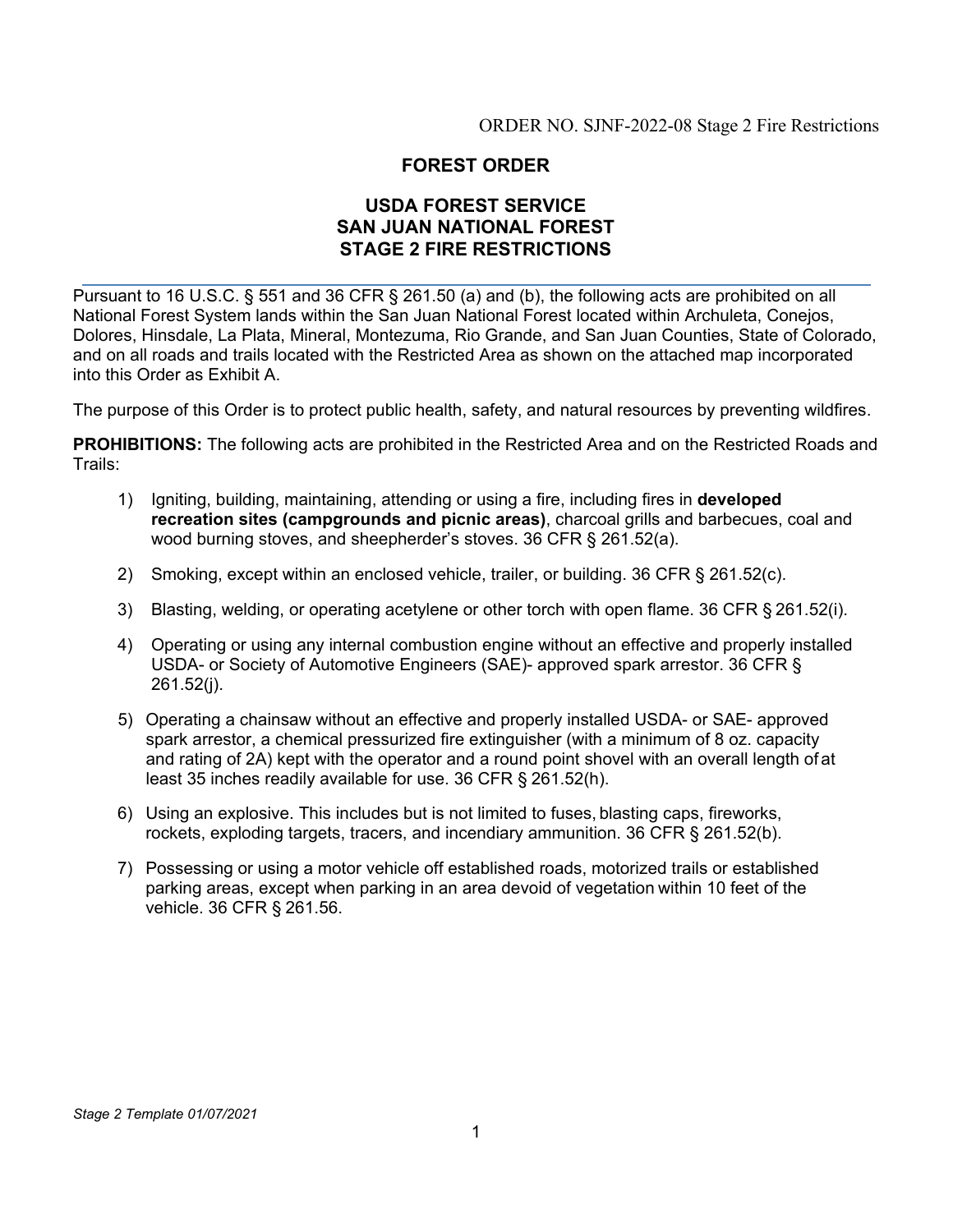ORDER NO. SJNF-2022-08 Stage 2 Fire Restrictions

## **FOREST ORDER**

## **USDA FOREST SERVICE SAN JUAN NATIONAL FOREST STAGE 2 FIRE RESTRICTIONS**

Pursuant to 16 U.S.C. § 551 and 36 CFR § 261.50 (a) and (b), the following acts are prohibited on all National Forest System lands within the San Juan National Forest located within Archuleta, Conejos, Dolores, Hinsdale, La Plata, Mineral, Montezuma, Rio Grande, and San Juan Counties, State of Colorado, and on all roads and trails located with the Restricted Area as shown on the attached map incorporated into this Order as Exhibit A.

The purpose of this Order is to protect public health, safety, and natural resources by preventing wildfires.

**PROHIBITIONS:** The following acts are prohibited in the Restricted Area and on the Restricted Roads and Trails:

- 1) Igniting, building, maintaining, attending or using a fire, including fires in **developed recreation sites (campgrounds and picnic areas)**, charcoal grills and barbecues, coal and wood burning stoves, and sheepherder's stoves. 36 CFR § 261.52(a).
- 2) Smoking, except within an enclosed vehicle, trailer, or building. 36 CFR § 261.52(c).
- 3) Blasting, welding, or operating acetylene or other torch with open flame. 36 CFR § 261.52(i).
- 4) Operating or using any internal combustion engine without an effective and properly installed USDA- or Society of Automotive Engineers (SAE)- approved spark arrestor. 36 CFR § 261.52(j).
- 5) Operating a chainsaw without an effective and properly installed USDA- or SAE- approved spark arrestor, a chemical pressurized fire extinguisher (with a minimum of 8 oz. capacity and rating of 2A) kept with the operator and a round point shovel with an overall length of at least 35 inches readily available for use. 36 CFR § 261.52(h).
- 6) Using an explosive. This includes but is not limited to fuses, blasting caps, fireworks, rockets, exploding targets, tracers, and incendiary ammunition. 36 CFR § 261.52(b).
- 7) Possessing or using a motor vehicle off established roads, motorized trails or established parking areas, except when parking in an area devoid of vegetation within 10 feet of the vehicle. 36 CFR § 261.56.